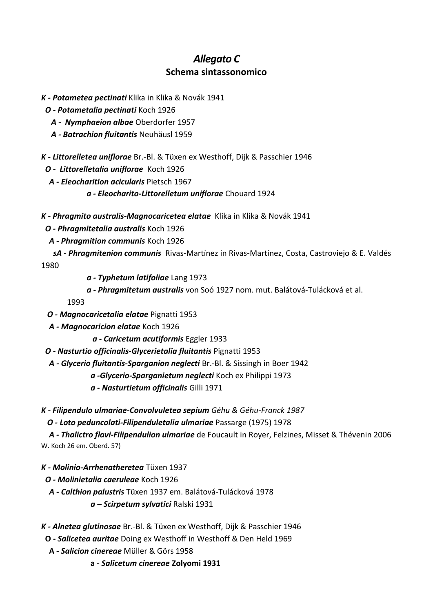## *Allegato C* **Schema sintassonomico**

- *K - Potametea pectinati* Klika in Klika & Novák 1941
	- *O - Potametalia pectinati* Koch 1926
		- *A Nymphaeion albae* Oberdorfer 1957
		- *A - Batrachion fluitantis* Neuhäusl 1959

*K - Littorelletea uniflorae* [Br.-Bl. & Tüxen ex Westhoff, Dijk & Passchier 1946](http://www.prodromo-vegetazione-italia.org/login?c=14)

- *O Littorelletalia uniflorae* Koch 1926
- *A - Eleocharition acicularis* Pietsch 1967
	- *a - Eleocharito-Littorelletum uniflorae* Chouard 1924

*K - Phragmito australis-Magnocaricetea elatae* Klika in Klika & Novák 1941

 *O - Phragmitetalia australis* Koch 1926

- *A - Phragmition communis* Koch 1926
- *sA* **-** *Phragmitenion communis*Rivas-Martínez in Rivas-Martínez, Costa, Castroviejo & E. Valdés 1980

- *a - Typhetum latifoliae* Lang 1973
- *a - Phragmitetum australis* von Soó 1927 nom. mut. Balátová-Tulácková et al.

1993

- *O - Magnocaricetalia elatae* Pignatti 1953
- *A - Magnocaricion elatae* Koch 1926
	- *a - Caricetum acutiformis* Eggler 1933
- *O - Nasturtio officinalis-Glycerietalia fluitantis* Pignatti 1953
- *A - Glycerio fluitantis-Sparganion neglecti* Br.-Bl. & Sissingh in Boer 1942
	- *a -Glycerio-Sparganietum neglecti* Koch ex Philippi 1973
	- *a - Nasturtietum officinalis* Gilli 1971
- *K - Filipendulo ulmariae-Convolvuletea sepium Géhu & Géhu-Franck 1987*

 *O - Loto peduncolati-Filipenduletalia ulmariae* Passarge (1975) 1978

 *A - Thalictro flavi-Filipendulion ulmariae* de Foucault in Royer, Felzines, Misset & Thévenin 2006 W. Koch 26 em. Oberd. 57)

- *K - Molinio-Arrhenatheretea* Tüxen 1937
- *O - Molinietalia caeruleae* Koch 1926
	- *A - Calthion palustris* Tüxen 1937 em. Balátová-Tulácková 1978
		- *a – Scirpetum sylvatici* Ralski 1931
- *K - Alnetea glutinosae* [Br.-Bl. & Tüxen ex Westhoff, Dijk & Passchier 1946](http://www.prodromo-vegetazione-italia.org/login?c=66)
- **O -** *Salicetea auritae* Doing ex Westhoff in Westhoff & Den Held 1969
- **A -** *Salicion cinereae* Müller & Görs 1958
	- **a -** *Salicetum cinereae* **Zolyomi 1931**